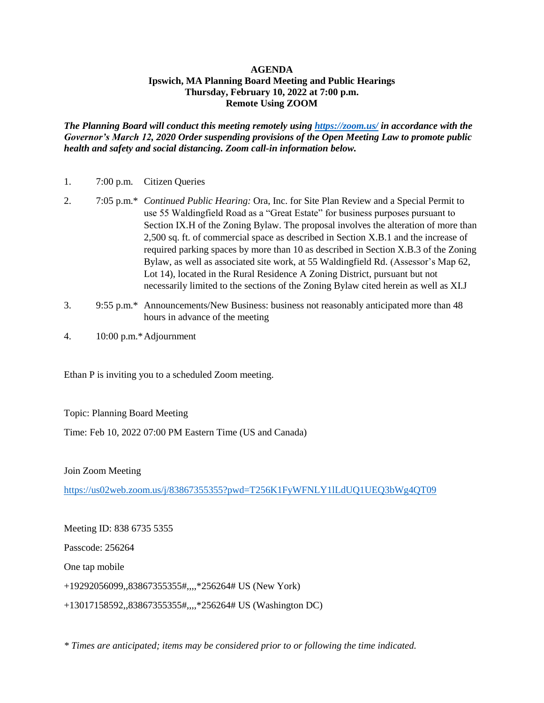## **AGENDA Ipswich, MA Planning Board Meeting and Public Hearings Thursday, February 10, 2022 at 7:00 p.m. Remote Using ZOOM**

*The Planning Board will conduct this meeting remotely using<https://zoom.us/> in accordance with the Governor's March 12, 2020 Order suspending provisions of the Open Meeting Law to promote public health and safety and social distancing. Zoom call-in information below.*

| 1. | $7:00$ p.m. | <b>Citizen Queries</b> |
|----|-------------|------------------------|
|    |             |                        |

- 2. 7:05 p.m.\* *Continued Public Hearing:* Ora, Inc. for Site Plan Review and a Special Permit to use 55 Waldingfield Road as a "Great Estate" for business purposes pursuant to Section IX.H of the Zoning Bylaw. The proposal involves the alteration of more than 2,500 sq. ft. of commercial space as described in Section X.B.1 and the increase of required parking spaces by more than 10 as described in Section X.B.3 of the Zoning Bylaw, as well as associated site work, at 55 Waldingfield Rd. (Assessor's Map 62, Lot 14), located in the Rural Residence A Zoning District, pursuant but not necessarily limited to the sections of the Zoning Bylaw cited herein as well as XI.J
- 3. 9:55 p.m.\* Announcements/New Business: business not reasonably anticipated more than 48 hours in advance of the meeting
- 4. 10:00 p.m.\*Adjournment

Ethan P is inviting you to a scheduled Zoom meeting.

Topic: Planning Board Meeting

Time: Feb 10, 2022 07:00 PM Eastern Time (US and Canada)

Join Zoom Meeting

<https://us02web.zoom.us/j/83867355355?pwd=T256K1FyWFNLY1lLdUQ1UEQ3bWg4QT09>

Meeting ID: 838 6735 5355 Passcode: 256264 One tap mobile +19292056099,,83867355355#,,,,\*256264# US (New York) +13017158592,,83867355355#,,,,\*256264# US (Washington DC)

*\* Times are anticipated; items may be considered prior to or following the time indicated.*